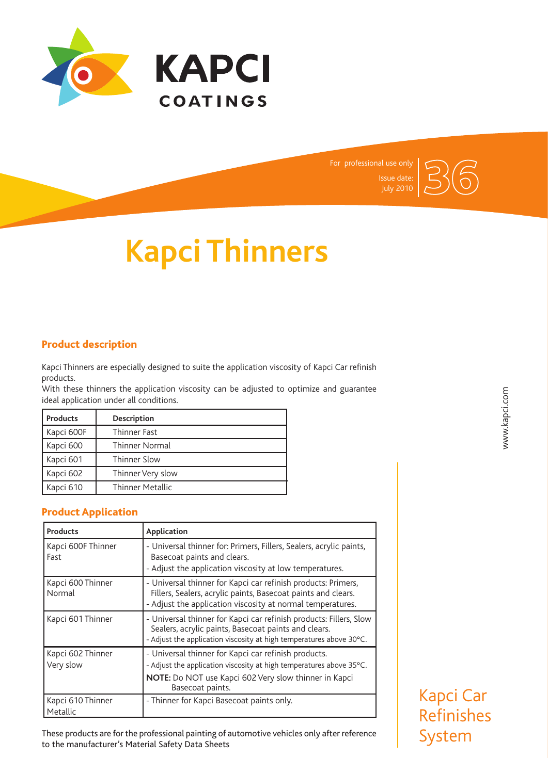



# **Kapci Thinners**

## Product description

Kapci Thinners are especially designed to suite the application viscosity of Kapci Car refinish products.

With these thinners the application viscosity can be adjusted to optimize and guarantee ideal application under all conditions.

| <b>Products</b> | Description             |
|-----------------|-------------------------|
| Kapci 600F      | Thinner Fast            |
| Kapci 600       | <b>Thinner Normal</b>   |
| Kapci 601       | Thinner Slow            |
| Kapci 602       | Thinner Very slow       |
| Kapci 610       | <b>Thinner Metallic</b> |

## Product Application

| <b>Products</b>                | Application                                                                                                                                                                                              |
|--------------------------------|----------------------------------------------------------------------------------------------------------------------------------------------------------------------------------------------------------|
| Kapci 600F Thinner<br>Fast     | - Universal thinner for: Primers, Fillers, Sealers, acrylic paints,<br>Basecoat paints and clears.<br>- Adjust the application viscosity at low temperatures.                                            |
| Kapci 600 Thinner<br>Normal    | - Universal thinner for Kapci car refinish products: Primers,<br>Fillers, Sealers, acrylic paints, Basecoat paints and clears.<br>- Adjust the application viscosity at normal temperatures.             |
| Kapci 601 Thinner              | - Universal thinner for Kapci car refinish products: Fillers, Slow<br>Sealers, acrylic paints, Basecoat paints and clears.<br>- Adjust the application viscosity at high temperatures above 30°C.        |
| Kapci 602 Thinner<br>Very slow | - Universal thinner for Kapci car refinish products.<br>- Adjust the application viscosity at high temperatures above 35°C.<br>NOTE: Do NOT use Kapci 602 Very slow thinner in Kapci<br>Basecoat paints. |
| Kapci 610 Thinner<br>Metallic  | - Thinner for Kapci Basecoat paints only.                                                                                                                                                                |

These products are for the professional painting of automotive vehicles only after reference to the manufacturer's Material Safety Data Sheets

Kapci Car Refinishes

System